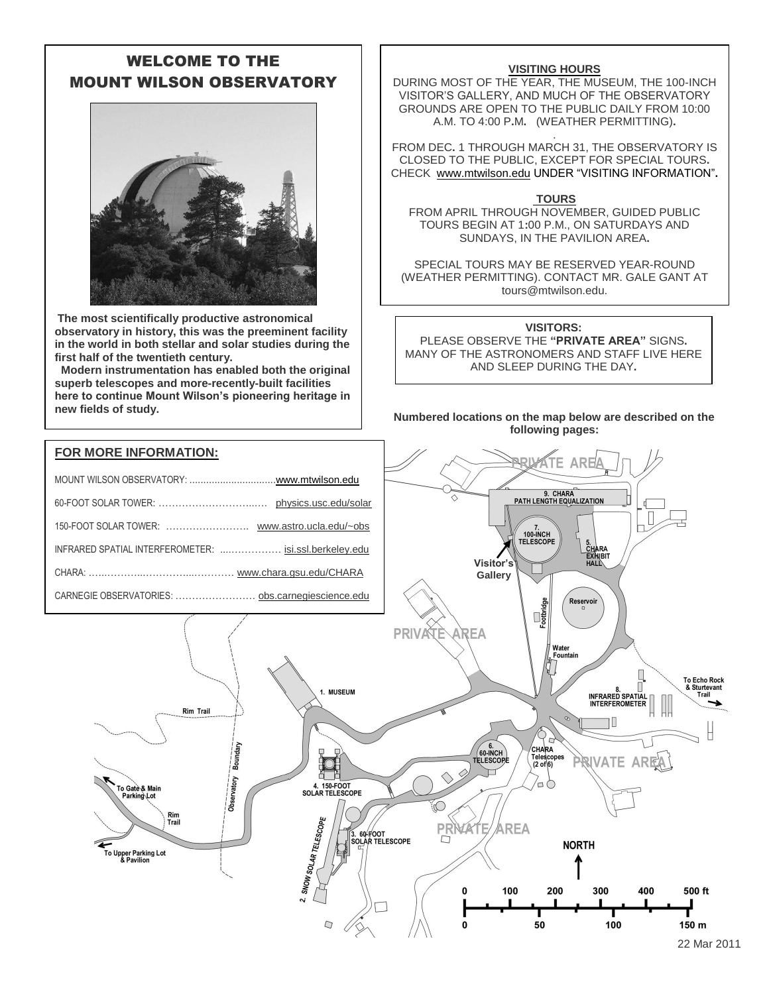# WELCOME TO THE MOUNT WILSON OBSERVATORY



**The most scientifically productive astronomical observatory in history, this was the preeminent facility in the world in both stellar and solar studies during the first half of the twentieth century.**

 **Modern instrumentation has enabled both the original superb telescopes and more-recently-built facilities here to continue Mount Wilson's pioneering heritage in new fields of study.**

### **VISITING HOURS**

DURING MOST OF THE YEAR, THE MUSEUM, THE 100-INCH VISITOR'S GALLERY, AND MUCH OF THE OBSERVATORY GROUNDS ARE OPEN TO THE PUBLIC DAILY FROM 10:00 A.M. TO 4:00 P**.**M**.** (WEATHER PERMITTING)**.**

. FROM DEC**.** 1 THROUGH MARCH 31, THE OBSERVATORY IS CLOSED TO THE PUBLIC, EXCEPT FOR SPECIAL TOURS**.** CHECK [www.mtwilson.edu](http://www.mtwilson.edu/) UNDER "VISITING INFORMATION"**.**

#### **TOURS**

FROM APRIL THROUGH NOVEMBER, GUIDED PUBLIC TOURS BEGIN AT 1**:**00 P.M., ON SATURDAYS AND SUNDAYS, IN THE PAVILION AREA**.**

SPECIAL TOURS MAY BE RESERVED YEAR-ROUND (WEATHER PERMITTING). CONTACT MR. GALE GANT AT tours@mtwilson.edu.

#### **VISITORS:**

PLEASE OBSERVE THE **"PRIVATE AREA"** SIGNS**.** MANY OF THE ASTRONOMERS AND STAFF LIVE HERE AND SLEEP DURING THE DAY**.**

 **Numbered locations on the map below are described on the following pages:**

#### **AR** 9. CHARA<br>PATH LENGTH EQUALIZATION 7.<br>100-INCH<br>TELESCOPE 5.<br>CHARA<br>EXHIBIT<br>HALL **Visitor's Gallery**CARNEGIE OBSERVATORIES: …………………[… obs.carnegiescience.edu](http://www.ociw.edu/) **Cotbridge** Reservoir PRIVATE **AREA** Water Equatoin **To Echo Rock** П & Sturtevant 1. MUSEUM Trail Rim Trail  $60 - \overline{N}$ Boundary CHARA H Telescopes<br>(2 of 6) **TELESCOPI** ۱۱۱ **ATE AR** Observatory 4. 150-FOOT<br>SOLAR TELESCOPE  $\neg$ To Gate & Mair<br>Parking Lot 2. SNOW SOLAR TELESCOPE Rim<br>Trail F AREA 3. 60-FOOT<br>SOLAR TELESCOPE **NORTH** <del>ء</del><br>To Upper Parking Lot<br>& Pavilion 100 300 500 ft 200 400  $\mathbf{0}$ 50 100 150 m  $\bf{0}$ 22 Mar 2011

**FOR MORE INFORMATION:**

| INFRARED SPATIAL INTERFEROMETER:  isi.ssl.berkeley.edu |  |
|--------------------------------------------------------|--|
|                                                        |  |
|                                                        |  |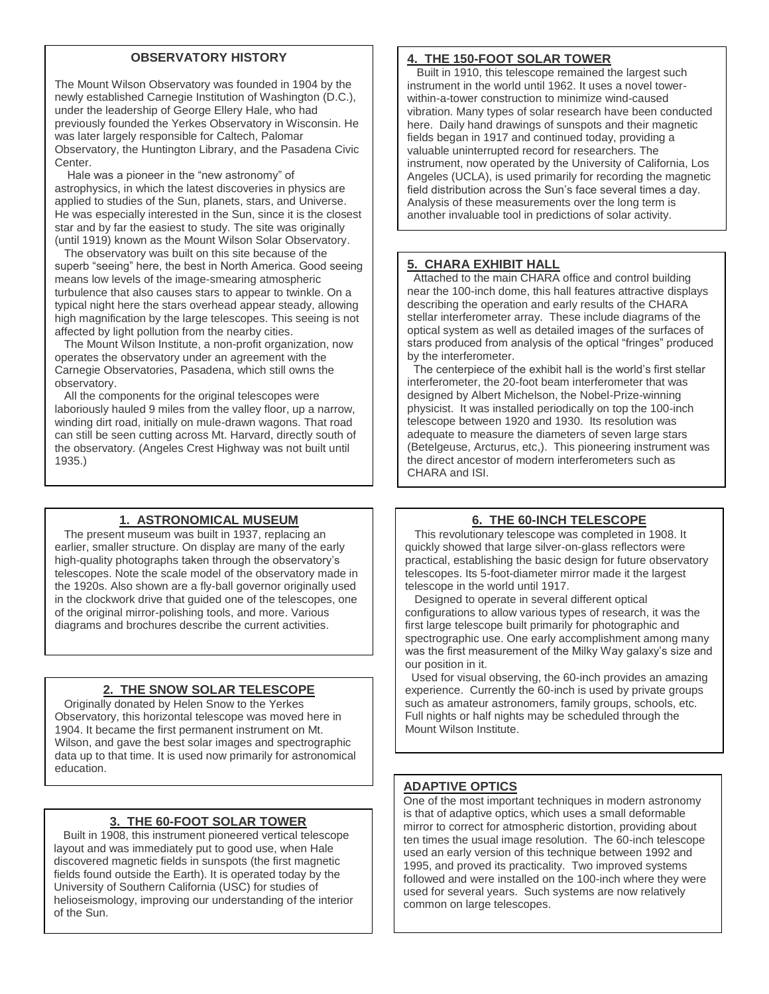# **OBSERVATORY HISTORY**

The Mount Wilson Observatory was founded in 1904 by the newly established Carnegie Institution of Washington (D.C.), under the leadership of George Ellery Hale, who had previously founded the Yerkes Observatory in Wisconsin. He was later largely responsible for Caltech, Palomar Observatory, the Huntington Library, and the Pasadena Civic Center.

 Hale was a pioneer in the "new astronomy" of astrophysics, in which the latest discoveries in physics are applied to studies of the Sun, planets, stars, and Universe. He was especially interested in the Sun, since it is the closest star and by far the easiest to study. The site was originally (until 1919) known as the Mount Wilson Solar Observatory.

 The observatory was built on this site because of the superb "seeing" here, the best in North America. Good seeing means low levels of the image-smearing atmospheric turbulence that also causes stars to appear to twinkle. On a typical night here the stars overhead appear steady, allowing high magnification by the large telescopes. This seeing is not affected by light pollution from the nearby cities.

 The Mount Wilson Institute, a non-profit organization, now operates the observatory under an agreement with the Carnegie Observatories, Pasadena, which still owns the observatory.

 All the components for the original telescopes were laboriously hauled 9 miles from the valley floor, up a narrow, winding dirt road, initially on mule-drawn wagons. That road can still be seen cutting across Mt. Harvard, directly south of the observatory. (Angeles Crest Highway was not built until 1935.)

# **1. ASTRONOMICAL MUSEUM**

 The present museum was built in 1937, replacing an earlier, smaller structure. On display are many of the early high-quality photographs taken through the observatory's telescopes. Note the scale model of the observatory made in the 1920s. Also shown are a fly-ball governor originally used in the clockwork drive that guided one of the telescopes, one of the original mirror-polishing tools, and more. Various diagrams and brochures describe the current activities.

# **2. THE SNOW SOLAR TELESCOPE**

 Originally donated by Helen Snow to the Yerkes Observatory, this horizontal telescope was moved here in 1904. It became the first permanent instrument on Mt. Wilson, and gave the best solar images and spectrographic data up to that time. It is used now primarily for astronomical education.

# **3. THE 60-FOOT SOLAR TOWER**

 Built in 1908, this instrument pioneered vertical telescope layout and was immediately put to good use, when Hale discovered magnetic fields in sunspots (the first magnetic fields found outside the Earth). It is operated today by the University of Southern California (USC) for studies of helioseismology, improving our understanding of the interior of the Sun.

#### **4. THE 150-FOOT SOLAR TOWER**

 Built in 1910, this telescope remained the largest such instrument in the world until 1962. It uses a novel towerwithin-a-tower construction to minimize wind-caused vibration. Many types of solar research have been conducted here. Daily hand drawings of sunspots and their magnetic fields began in 1917 and continued today, providing a valuable uninterrupted record for researchers. The instrument, now operated by the University of California, Los Angeles (UCLA), is used primarily for recording the magnetic field distribution across the Sun's face several times a day. Analysis of these measurements over the long term is another invaluable tool in predictions of solar activity.

#### **5. CHARA EXHIBIT HALL**

 Attached to the main CHARA office and control building near the 100-inch dome, this hall features attractive displays describing the operation and early results of the CHARA stellar interferometer array. These include diagrams of the optical system as well as detailed images of the surfaces of stars produced from analysis of the optical "fringes" produced by the interferometer.

 The centerpiece of the exhibit hall is the world's first stellar interferometer, the 20-foot beam interferometer that was designed by Albert Michelson, the Nobel-Prize-winning physicist. It was installed periodically on top the 100-inch telescope between 1920 and 1930. Its resolution was adequate to measure the diameters of seven large stars (Betelgeuse, Arcturus, etc,). This pioneering instrument was the direct ancestor of modern interferometers such as CHARA and ISI.

# **6. THE 60-INCH TELESCOPE**

 This revolutionary telescope was completed in 1908. It quickly showed that large silver-on-glass reflectors were practical, establishing the basic design for future observatory telescopes. Its 5-foot-diameter mirror made it the largest telescope in the world until 1917.

 Designed to operate in several different optical configurations to allow various types of research, it was the first large telescope built primarily for photographic and spectrographic use. One early accomplishment among many was the first measurement of the Milky Way galaxy's size and our position in it.

 Used for visual observing, the 60-inch provides an amazing experience. Currently the 60-inch is used by private groups such as amateur astronomers, family groups, schools, etc. Full nights or half nights may be scheduled through the Mount Wilson Institute.

# **ADAPTIVE OPTICS**

One of the most important techniques in modern astronomy is that of adaptive optics, which uses a small deformable mirror to correct for atmospheric distortion, providing about ten times the usual image resolution. The 60-inch telescope used an early version of this technique between 1992 and 1995, and proved its practicality. Two improved systems followed and were installed on the 100-inch where they were used for several years. Such systems are now relatively common on large telescopes.